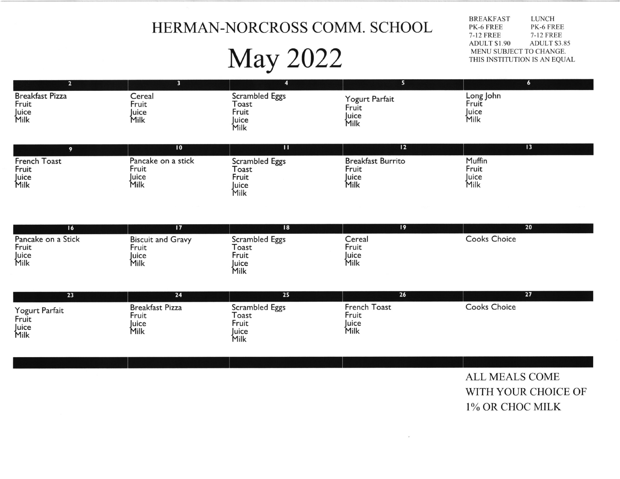## HERMAN.NORCROSS COMM. SCHOOL

# May 2022

BREAKFAST PK-6 FREE 7-12 FREE<br>ADULT \$1.90 **LUNCH** PK.6 FREE 7-I2 FREE ADULT \$3.85 MENU SUBJECT TO CHANGE. THIS INSTITUTION IS AN EQUAL

| Breakfast Pizza<br>Fruit<br>Juice<br>Milk | Cereal<br>Fruit<br>uice<br>Milk | Scrambled Eggs<br>Toast<br>Fruit<br>luice<br>Milk | Yogurt Parfait<br>Fruit<br>Juice<br>Milk | Long John<br>Fruit<br>Juice<br>Milk |
|-------------------------------------------|---------------------------------|---------------------------------------------------|------------------------------------------|-------------------------------------|

|                                        | $\overline{10}$                              |                                                   | 12                                                 |                                  |
|----------------------------------------|----------------------------------------------|---------------------------------------------------|----------------------------------------------------|----------------------------------|
| French Toast<br>Fruit<br>Juice<br>Milk | Pancake on a stick<br>Fruit<br>Juice<br>Milk | Scrambled Eggs<br>Toast<br>Fruit<br>Juice<br>Milk | <b>Breakfast Burrito</b><br>Fruit<br>luice<br>Milk | Muffin<br>Fruit<br>Juice<br>Milk |

| 16                                           |                                                    | 18                                                | 19                               | 20           |
|----------------------------------------------|----------------------------------------------------|---------------------------------------------------|----------------------------------|--------------|
| Pancake on a Stick<br>Fruit<br>Juice<br>Milk | <b>Biscuit and Gravy</b><br>Fruit<br>Juice<br>Milk | Scrambled Eggs<br>Toast<br>⊦ruit<br>Juice<br>Milk | Cereal<br>Fruit<br>Juice<br>Milk | Cooks Choice |

| 23                                       | 24                                              | 25                                               | 26                                     | 27           |
|------------------------------------------|-------------------------------------------------|--------------------------------------------------|----------------------------------------|--------------|
| Yogurt Parfait<br>Fruit<br>Juice<br>Milk | <b>Breakfast Pizza</b><br>Fruit<br>uice<br>Milk | Scrambled Eggs<br>oast<br>Fruit<br>luice<br>Milk | French Toast<br>Fruit<br>Juice<br>Milk | Cooks Choice |

ALL MEALS COME WITH YOUR CHOICE OF I% OR CHOC MILK